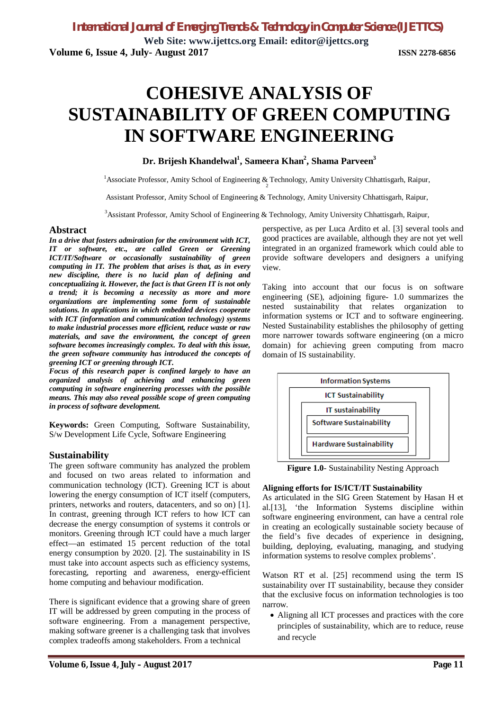**Web Site: www.ijettcs.org Email: editor@ijettcs.org Volume 6, Issue 4, July- August 2017 ISSN 2278-6856**

# **COHESIVE ANALYSIS OF SUSTAINABILITY OF GREEN COMPUTING IN SOFTWARE ENGINEERING**

# **Dr. Brijesh Khandelwal<sup>1</sup> , Sameera Khan<sup>2</sup> , Shama Parveen<sup>3</sup>**

<sup>1</sup> Associate Professor, Amity School of Engineering & Technology, Amity University Chhattisgarh, Raipur,

Assistant Professor, Amity School of Engineering & Technology, Amity University Chhattisgarh, Raipur,

<sup>3</sup>Assistant Professor, Amity School of Engineering & Technology, Amity University Chhattisgarh, Raipur,

#### **Abstract**

*In a drive that fosters admiration for the environment with ICT, IT or software, etc., are called Green or Greening ICT/IT/Software or occasionally sustainability of green computing in IT. The problem that arises is that, as in every new discipline, there is no lucid plan of defining and conceptualizing it. However, the fact is that Green IT is not only a trend; it is becoming a necessity as more and more organizations are implementing some form of sustainable solutions. In applications in which embedded devices cooperate with ICT (information and communication technology) systems to make industrial processes more efficient, reduce waste or raw materials, and save the environment, the concept of green software becomes increasingly complex. To deal with this issue, the green software community has introduced the concepts of greening ICT or greening through ICT.*

*Focus of this research paper is confined largely to have an organized analysis of achieving and enhancing green computing in software engineering processes with the possible means. This may also reveal possible scope of green computing in process of software development.*

**Keywords:** Green Computing, Software Sustainability, S/w Development Life Cycle, Software Engineering

### **Sustainability**

The green software community has analyzed the problem and focused on two areas related to information and communication technology (ICT). Greening ICT is about lowering the energy consumption of ICT itself (computers, printers, networks and routers, datacenters, and so on) [1]. In contrast, greening through ICT refers to how ICT can decrease the energy consumption of systems it controls or monitors. Greening through ICT could have a much larger effect—an estimated 15 percent reduction of the total energy consumption by 2020. [2]. The sustainability in IS must take into account aspects such as efficiency systems, forecasting, reporting and awareness, energy-efficient home computing and behaviour modification.

There is significant evidence that a growing share of green IT will be addressed by green computing in the process of software engineering. From a management perspective, making software greener is a challenging task that involves complex tradeoffs among stakeholders. From a technical

perspective, as per Luca Ardito et al. [3] several tools and good practices are available, although they are not yet well integrated in an organized framework which could able to provide software developers and designers a unifying view.

Taking into account that our focus is on software engineering (SE), adjoining figure- 1.0 summarizes the nested sustainability that relates organization to information systems or ICT and to software engineering. Nested Sustainability establishes the philosophy of getting more narrower towards software engineering (on a micro domain) for achieving green computing from macro domain of IS sustainability.



**Figure 1.0**- Sustainability Nesting Approach

#### **Aligning efforts for IS/ICT/IT Sustainability**

As articulated in the SIG Green Statement by Hasan H et al.[13], 'the Information Systems discipline within software engineering environment, can have a central role in creating an ecologically sustainable society because of the field's five decades of experience in designing, building, deploying, evaluating, managing, and studying information systems to resolve complex problems'.

Watson RT et al. [25] recommend using the term IS sustainability over IT sustainability, because they consider that the exclusive focus on information technologies is too narrow.

 Aligning all ICT processes and practices with the core principles of sustainability, which are to reduce, reuse and recycle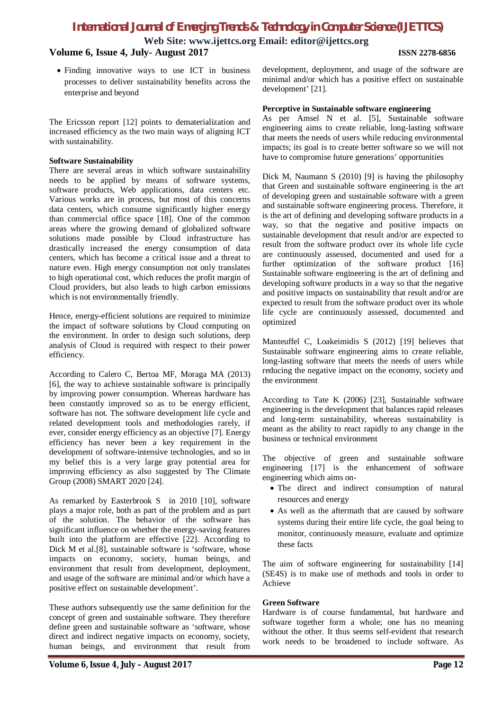**Web Site: www.ijettcs.org Email: editor@ijettcs.org**

# **Volume 6, Issue 4, July- August 2017 ISSN 2278-6856**

 Finding innovative ways to use ICT in business processes to deliver sustainability benefits across the enterprise and beyond

The Ericsson report [12] points to dematerialization and increased efficiency as the two main ways of aligning ICT with sustainability.

#### **Software Sustainability**

There are several areas in which software sustainability needs to be applied by means of software systems, software products, Web applications, data centers etc. Various works are in process, but most of this concerns data centers, which consume significantly higher energy than commercial office space [18]. One of the common areas where the growing demand of globalized software solutions made possible by Cloud infrastructure has drastically increased the energy consumption of data centers, which has become a critical issue and a threat to nature even. High energy consumption not only translates to high operational cost, which reduces the profit margin of Cloud providers, but also leads to high carbon emissions which is not environmentally friendly.

Hence, energy-efficient solutions are required to minimize the impact of software solutions by Cloud computing on the environment. In order to design such solutions, deep analysis of Cloud is required with respect to their power efficiency.

According to Calero C, Bertoa MF, Moraga MA (2013) [6], the way to achieve sustainable software is principally by improving power consumption. Whereas hardware has been constantly improved so as to be energy efficient, software has not. The software development life cycle and related development tools and methodologies rarely, if ever, consider energy efficiency as an objective [7]. Energy efficiency has never been a key requirement in the development of software-intensive technologies, and so in my belief this is a very large gray potential area for improving efficiency as also suggested by The Climate Group (2008) SMART 2020 [24].

As remarked by Easterbrook S in 2010 [10], software plays a major role, both as part of the problem and as part of the solution. The behavior of the software has significant influence on whether the energy-saving features built into the platform are effective [22]. According to Dick M et al.[8], sustainable software is 'software, whose impacts on economy, society, human beings, and environment that result from development, deployment, and usage of the software are minimal and/or which have a positive effect on sustainable development'.

These authors subsequently use the same definition for the concept of green and sustainable software. They therefore define green and sustainable software as 'software, whose direct and indirect negative impacts on economy, society, human beings, and environment that result from

development, deployment, and usage of the software are minimal and/or which has a positive effect on sustainable development' [21].

### **Perceptive in Sustainable software engineering**

As per Amsel N et al. [5], Sustainable software engineering aims to create reliable, long-lasting software that meets the needs of users while reducing environmental impacts; its goal is to create better software so we will not have to compromise future generations' opportunities

Dick M, Naumann S (2010) [9] is having the philosophy that Green and sustainable software engineering is the art of developing green and sustainable software with a green and sustainable software engineering process. Therefore, it is the art of defining and developing software products in a way, so that the negative and positive impacts on sustainable development that result and/or are expected to result from the software product over its whole life cycle are continuously assessed, documented and used for a further optimization of the software product [16] Sustainable software engineering is the art of defining and developing software products in a way so that the negative and positive impacts on sustainability that result and/or are expected to result from the software product over its whole life cycle are continuously assessed, documented and optimized

Manteuffel C, Loakeimidis S (2012) [19] believes that Sustainable software engineering aims to create reliable, long-lasting software that meets the needs of users while reducing the negative impact on the economy, society and the environment

According to Tate K (2006) [23], Sustainable software engineering is the development that balances rapid releases and long-term sustainability, whereas sustainability is meant as the ability to react rapidly to any change in the business or technical environment

The objective of green and sustainable software engineering [17] is the enhancement of software engineering which aims on-

- The direct and indirect consumption of natural resources and energy
- As well as the aftermath that are caused by software systems during their entire life cycle, the goal being to monitor, continuously measure, evaluate and optimize these facts

The aim of software engineering for sustainability [14] (SE4S) is to make use of methods and tools in order to Achieve

#### **Green Software**

Hardware is of course fundamental, but hardware and software together form a whole; one has no meaning without the other. It thus seems self-evident that research work needs to be broadened to include software. As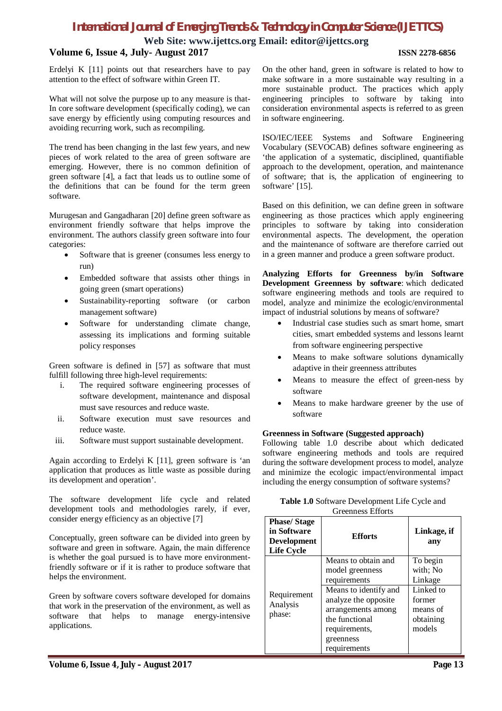**Web Site: www.ijettcs.org Email: editor@ijettcs.org**

#### **Volume 6, Issue 4, July- August 2017 ISSN 2278-6856**

Erdelyi K [11] points out that researchers have to pay attention to the effect of software within Green IT.

What will not solve the purpose up to any measure is that-In core software development (specifically coding), we can save energy by efficiently using computing resources and avoiding recurring work, such as recompiling.

The trend has been changing in the last few years, and new pieces of work related to the area of green software are emerging. However, there is no common definition of green software [4], a fact that leads us to outline some of the definitions that can be found for the term green software.

Murugesan and Gangadharan [20] define green software as environment friendly software that helps improve the environment. The authors classify green software into four categories:

- Software that is greener (consumes less energy to run)
- Embedded software that assists other things in going green (smart operations)
- Sustainability-reporting software (or carbon management software)
- Software for understanding climate change, assessing its implications and forming suitable policy responses

Green software is defined in [57] as software that must fulfill following three high-level requirements:

- i. The required software engineering processes of software development, maintenance and disposal must save resources and reduce waste.
- ii. Software execution must save resources and reduce waste.
- iii. Software must support sustainable development.

Again according to Erdelyi K [11], green software is 'an application that produces as little waste as possible during its development and operation'.

The software development life cycle and related development tools and methodologies rarely, if ever, consider energy efficiency as an objective [7]

Conceptually, green software can be divided into green by software and green in software. Again, the main difference is whether the goal pursued is to have more environmentfriendly software or if it is rather to produce software that helps the environment.

Green by software covers software developed for domains that work in the preservation of the environment, as well as software that helps to manage energy-intensive applications.

On the other hand, green in software is related to how to make software in a more sustainable way resulting in a more sustainable product. The practices which apply engineering principles to software by taking into consideration environmental aspects is referred to as green in software engineering.

ISO/IEC/IEEE Systems and Software Engineering Vocabulary (SEVOCAB) defines software engineering as 'the application of a systematic, disciplined, quantifiable approach to the development, operation, and maintenance of software; that is, the application of engineering to software' [15].

Based on this definition, we can define green in software engineering as those practices which apply engineering principles to software by taking into consideration environmental aspects. The development, the operation and the maintenance of software are therefore carried out in a green manner and produce a green software product.

**Analyzing Efforts for Greenness by/in Software Development Greenness by software**: which dedicated software engineering methods and tools are required to model, analyze and minimize the ecologic/environmental impact of industrial solutions by means of software?

- Industrial case studies such as smart home, smart cities, smart embedded systems and lessons learnt from software engineering perspective
- Means to make software solutions dynamically adaptive in their greenness attributes
- Means to measure the effect of green-ness by software
- Means to make hardware greener by the use of software

#### **Greenness in Software (Suggested approach)**

Following table 1.0 describe about which dedicated software engineering methods and tools are required during the software development process to model, analyze and minimize the ecologic impact/environmental impact including the energy consumption of software systems?

| <b>Table 1.0</b> Software Development Life Cycle and |
|------------------------------------------------------|
| <b>Greenness Efforts</b>                             |

| <b>Phase/Stage</b><br>in Software<br><b>Development</b><br><b>Life Cycle</b> | <b>Efforts</b>        | Linkage, if<br>any |
|------------------------------------------------------------------------------|-----------------------|--------------------|
| Requirement<br>Analysis<br>phase:                                            | Means to obtain and   | To begin           |
|                                                                              | model greenness       | with; No           |
|                                                                              | requirements          | Linkage            |
|                                                                              | Means to identify and | Linked to          |
|                                                                              | analyze the opposite  | former             |
|                                                                              | arrangements among    | means of           |
|                                                                              | the functional        | obtaining          |
|                                                                              | requirements,         | models             |
|                                                                              | greenness             |                    |
|                                                                              | requirements          |                    |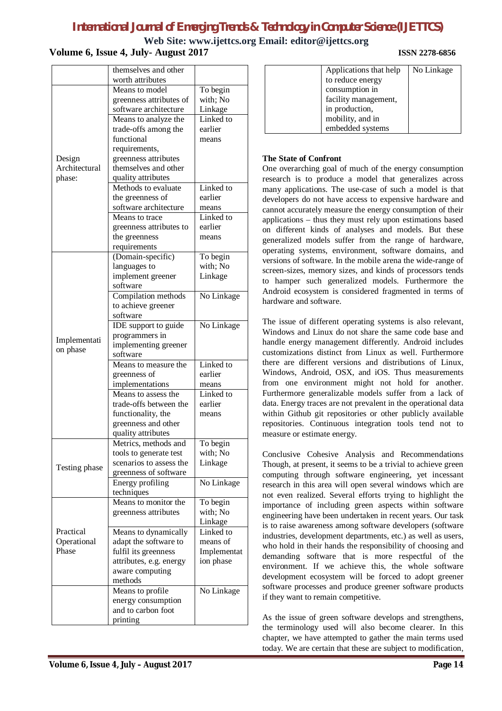**Web Site: www.ijettcs.org Email: editor@ijettcs.org**

**Volume 6, Issue 4, July- August 2017 ISSN 2278-6856**

|                                   | themselves and other                   |             |
|-----------------------------------|----------------------------------------|-------------|
|                                   | worth attributes                       |             |
|                                   | Means to model                         | To begin    |
|                                   | greenness attributes of                | with; No    |
|                                   | software architecture                  | Linkage     |
|                                   |                                        |             |
|                                   | Means to analyze the                   | Linked to   |
|                                   | trade-offs among the                   | earlier     |
|                                   | functional                             | means       |
| Design<br>Architectural<br>phase: | requirements,                          |             |
|                                   | greenness attributes                   |             |
|                                   | themselves and other                   |             |
|                                   | quality attributes                     |             |
|                                   | Methods to evaluate                    | Linked to   |
|                                   | the greenness of                       | earlier     |
|                                   | software architecture                  | means       |
|                                   | Means to trace                         | Linked to   |
|                                   | greenness attributes to                | earlier     |
|                                   | the greenness                          | means       |
|                                   | requirements                           |             |
|                                   | (Domain-specific)                      | To begin    |
|                                   | languages to                           | with; No    |
|                                   | implement greener                      | Linkage     |
|                                   | software                               |             |
|                                   | Compilation methods                    | No Linkage  |
|                                   | to achieve greener                     |             |
|                                   | software                               |             |
|                                   | IDE support to guide                   | No Linkage  |
|                                   | programmers in                         |             |
| Implementati                      | implementing greener                   |             |
| on phase                          | software                               |             |
|                                   | Means to measure the                   | Linked to   |
|                                   |                                        | earlier     |
|                                   | greenness of                           |             |
|                                   | implementations<br>Means to assess the | means       |
|                                   |                                        | Linked to   |
|                                   | trade-offs between the                 | earlier     |
|                                   | functionality, the                     | means       |
|                                   | greenness and other                    |             |
|                                   | quality attributes                     |             |
|                                   | Metrics, methods and                   | To begin    |
|                                   | tools to generate test                 | with; No    |
| Testing phase                     | scenarios to assess the                | Linkage     |
|                                   | greenness of software                  |             |
|                                   | Energy profiling                       | No Linkage  |
|                                   | techniques                             |             |
|                                   | Means to monitor the                   | To begin    |
|                                   | greenness attributes                   | with; No    |
|                                   |                                        | Linkage     |
| Practical                         | Means to dynamically                   | Linked to   |
| Operational                       | adapt the software to                  | means of    |
| Phase                             | fulfil its greenness                   | Implementat |
|                                   | attributes, e.g. energy                | ion phase   |
|                                   | aware computing                        |             |
|                                   | methods                                |             |
|                                   | Means to profile                       | No Linkage  |
|                                   | energy consumption                     |             |
|                                   |                                        |             |
|                                   |                                        |             |
|                                   | and to carbon foot<br>printing         |             |

| Applications that help | No Linkage |
|------------------------|------------|
| to reduce energy       |            |
| consumption in         |            |
| facility management,   |            |
| in production,         |            |
| mobility, and in       |            |
| embedded systems       |            |
|                        |            |

#### **The State of Confront**

One overarching goal of much of the energy consumption research is to produce a model that generalizes across many applications. The use-case of such a model is that developers do not have access to expensive hardware and cannot accurately measure the energy consumption of their applications – thus they must rely upon estimations based on different kinds of analyses and models. But these generalized models suffer from the range of hardware, operating systems, environment, software domains, and versions of software. In the mobile arena the wide-range of screen-sizes, memory sizes, and kinds of processors tends to hamper such generalized models. Furthermore the Android ecosystem is considered fragmented in terms of hardware and software.

The issue of different operating systems is also relevant, Windows and Linux do not share the same code base and handle energy management differently. Android includes customizations distinct from Linux as well. Furthermore there are different versions and distributions of Linux, Windows, Android, OSX, and iOS. Thus measurements from one environment might not hold for another. Furthermore generalizable models suffer from a lack of data. Energy traces are not prevalent in the operational data within Github git repositories or other publicly available repositories. Continuous integration tools tend not to measure or estimate energy.

Conclusive Cohesive Analysis and Recommendations Though, at present, it seems to be a trivial to achieve green computing through software engineering, yet incessant research in this area will open several windows which are not even realized. Several efforts trying to highlight the importance of including green aspects within software engineering have been undertaken in recent years. Our task is to raise awareness among software developers (software industries, development departments, etc.) as well as users, who hold in their hands the responsibility of choosing and demanding software that is more respectful of the environment. If we achieve this, the whole software development ecosystem will be forced to adopt greener software processes and produce greener software products if they want to remain competitive.

As the issue of green software develops and strengthens, the terminology used will also become clearer. In this chapter, we have attempted to gather the main terms used today. We are certain that these are subject to modification,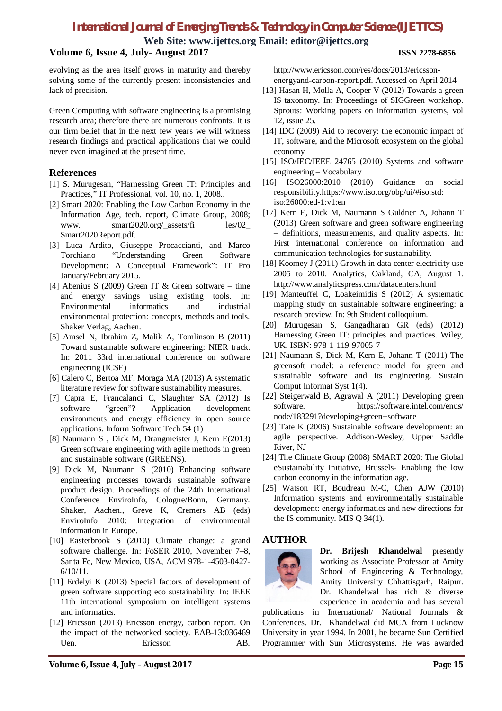**Web Site: www.ijettcs.org Email: editor@ijettcs.org**

# **Volume 6, Issue 4, July- August 2017 ISSN 2278-6856**

evolving as the area itself grows in maturity and thereby solving some of the currently present inconsistencies and lack of precision.

Green Computing with software engineering is a promising research area; therefore there are numerous confronts. It is our firm belief that in the next few years we will witness research findings and practical applications that we could never even imagined at the present time.

# **References**

- [1] S. Murugesan, "Harnessing Green IT: Principles and Practices," IT Professional, vol. 10, no. 1, 2008..
- [2] Smart 2020: Enabling the Low Carbon Economy in the Information Age, tech. report, Climate Group, 2008; www. smart2020.org/\_assets/fi les/02\_ Smart2020Report.pdf.
- [3] Luca Ardito, Giuseppe Procaccianti, and Marco Torchiano "Understanding Green Software Development: A Conceptual Framework": IT Pro January/February 2015.
- [4] Abenius S (2009) Green IT & Green software time and energy savings using existing tools. In: Environmental informatics and industrial environmental protection: concepts, methods and tools. Shaker Verlag, Aachen.
- [5] Amsel N, Ibrahim Z, Malik A, Tomlinson B (2011) Toward sustainable software engineering: NIER track. In: 2011 33rd international conference on software engineering (ICSE)
- [6] Calero C, Bertoa MF, Moraga MA (2013) A systematic literature review for software sustainability measures.
- [7] Capra E, Francalanci C, Slaughter SA (2012) Is software "green"? Application development environments and energy efficiency in open source applications. Inform Software Tech 54 (1)
- [8] Naumann S , Dick M, Drangmeister J, Kern E(2013) Green software engineering with agile methods in green and sustainable software (GREENS).
- [9] Dick M, Naumann S (2010) Enhancing software engineering processes towards sustainable software product design. Proceedings of the 24th International Conference EnviroInfo, Cologne/Bonn, Germany. Shaker, Aachen., Greve K, Cremers AB (eds) EnviroInfo 2010: Integration of environmental information in Europe.
- [10] Easterbrook S (2010) Climate change: a grand software challenge. In: FoSER 2010, November 7–8, Santa Fe, New Mexico, USA, ACM 978-1-4503-0427- 6/10/11.
- [11] Erdelyi K (2013) Special factors of development of green software supporting eco sustainability. In: IEEE 11th international symposium on intelligent systems and informatics.
- [12] Ericsson (2013) Ericsson energy, carbon report. On the impact of the networked society. EAB-13:036469 Uen. Ericsson AB.

http://www.ericsson.com/res/docs/2013/ericssonenergyand-carbon-report.pdf. Accessed on April 2014

- [13] Hasan H, Molla A, Cooper V (2012) Towards a green IS taxonomy. In: Proceedings of SIGGreen workshop. Sprouts: Working papers on information systems, vol 12, issue 25.
- [14] IDC (2009) Aid to recovery: the economic impact of IT, software, and the Microsoft ecosystem on the global economy
- [15] ISO/IEC/IEEE 24765 (2010) Systems and software engineering – Vocabulary
- [16] ISO26000:2010 (2010) Guidance on social responsibility.https://www.iso.org/obp/ui/#iso:std: iso:26000:ed-1:v1:en
- [17] Kern E, Dick M, Naumann S Guldner A, Johann T (2013) Green software and green software engineering – definitions, measurements, and quality aspects. In: First international conference on information and communication technologies for sustainability.
- [18] Koomey J (2011) Growth in data center electricity use 2005 to 2010. Analytics, Oakland, CA, August 1. http://www.analyticspress.com/datacenters.html
- [19] Manteuffel C, Loakeimidis S (2012) A systematic mapping study on sustainable software engineering: a research preview. In: 9th Student colloquium.
- [20] Murugesan S, Gangadharan GR (eds) (2012) Harnessing Green IT: principles and practices. Wiley, UK. ISBN: 978-1-119-97005-7
- [21] Naumann S, Dick M, Kern E, Johann T (2011) The greensoft model: a reference model for green and sustainable software and its engineering. Sustain Comput Informat Syst 1(4).
- [22] Steigerwald B, Agrawal A (2011) Developing green software. https://software.intel.com/enus/ node/183291?developing+green+software
- [23] Tate K (2006) Sustainable software development: an agile perspective. Addison-Wesley, Upper Saddle River, NJ
- [24] The Climate Group (2008) SMART 2020: The Global eSustainability Initiative, Brussels- Enabling the low carbon economy in the information age.
- [25] Watson RT, Boudreau M-C, Chen AJW (2010) Information systems and environmentally sustainable development: energy informatics and new directions for the IS community. MIS Q 34(1).

# **AUTHOR**



**Dr. Brijesh Khandelwal** presently working as Associate Professor at Amity School of Engineering & Technology, Amity University Chhattisgarh, Raipur. Dr. Khandelwal has rich & diverse experience in academia and has several

publications in International/ National Journals & Conferences. Dr. Khandelwal did MCA from Lucknow University in year 1994. In 2001, he became Sun Certified Programmer with Sun Microsystems. He was awarded